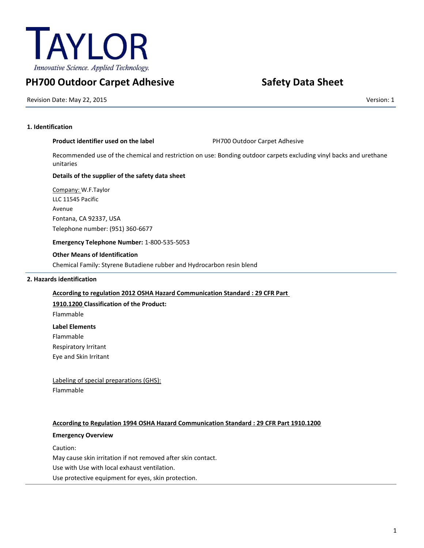

# **PH700 Outdoor Carpet Adhesive Safety Data Sheet**

Revision Date: May 22, 2015 Version: 1

# **1. Identification**

# **Product identifier used on the label Fig. 2016 PH700 Outdoor Carpet Adhesive**

Recommended use of the chemical and restriction on use: Bonding outdoor carpets excluding vinyl backs and urethane unitaries

# **Details of the supplier of the safety data sheet**

Company: W.F.Taylor LLC 11545 Pacific Avenue Fontana, CA 92337, USA Telephone number: (951) 360-6677

**Emergency Telephone Number:** 1-800-535-5053

# **Other Means of Identification**

Chemical Family: Styrene Butadiene rubber and Hydrocarbon resin blend

# **2. Hazards identification**

# **According to regulation 2012 OSHA Hazard Communication Standard : 29 CFR Part**

**1910.1200 Classification of the Product:**

Flammable

**Label Elements**

Flammable

Respiratory Irritant

Eye and Skin Irritant

Labeling of special preparations (GHS): Flammable

# **According to Regulation 1994 OSHA Hazard Communication Standard : 29 CFR Part 1910.1200**

# **Emergency Overview**

Caution:

May cause skin irritation if not removed after skin contact.

Use with Use with local exhaust ventilation.

Use protective equipment for eyes, skin protection.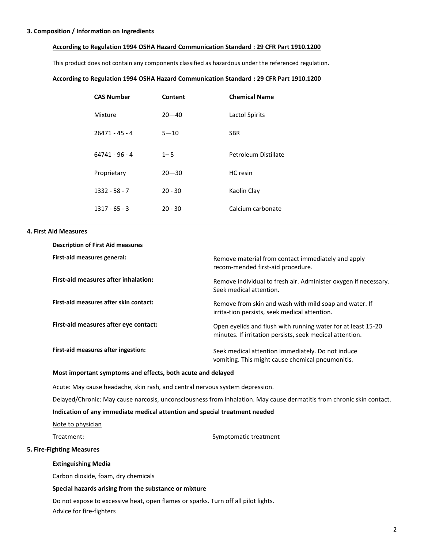#### **3. Composition / Information on Ingredients**

#### **According to Regulation 1994 OSHA Hazard Communication Standard : 29 CFR Part 1910.1200**

This product does not contain any components classified as hazardous under the referenced regulation.

#### **According to Regulation 1994 OSHA Hazard Communication Standard : 29 CFR Part 1910.1200**

| <b>CAS Number</b> | Content   | <b>Chemical Name</b> |
|-------------------|-----------|----------------------|
| Mixture           | $20 - 40$ | Lactol Spirits       |
| $26471 - 45 - 4$  | $5 - 10$  | <b>SBR</b>           |
| $64741 - 96 - 4$  | $1 - 5$   | Petroleum Distillate |
| Proprietary       | $20 - 30$ | HC resin             |
| $1332 - 58 - 7$   | $20 - 30$ | Kaolin Clay          |
| $1317 - 65 - 3$   | $20 - 30$ | Calcium carbonate    |

#### **4. First Aid Measures**

| <b>Description of First Aid measures</b> |                                                                                                                          |
|------------------------------------------|--------------------------------------------------------------------------------------------------------------------------|
| First-aid measures general:              | Remove material from contact immediately and apply<br>recom-mended first-aid procedure.                                  |
| First-aid measures after inhalation:     | Remove individual to fresh air. Administer oxygen if necessary.<br>Seek medical attention.                               |
| First-aid measures after skin contact:   | Remove from skin and wash with mild soap and water. If<br>irrita-tion persists, seek medical attention.                  |
| First-aid measures after eye contact:    | Open eyelids and flush with running water for at least 15-20<br>minutes. If irritation persists, seek medical attention. |
| First-aid measures after ingestion:      | Seek medical attention immediately. Do not induce<br>vomiting. This might cause chemical pneumonitis.                    |

# **Most important symptoms and effects, both acute and delayed**

Acute: May cause headache, skin rash, and central nervous system depression.

Delayed/Chronic: May cause narcosis, unconsciousness from inhalation. May cause dermatitis from chronic skin contact.

### **Indication of any immediate medical attention and special treatment needed**

Note to physician

Treatment: Symptomatic treatment

# **5. Fire-Fighting Measures**

#### **Extinguishing Media**

Carbon dioxide, foam, dry chemicals

#### **Special hazards arising from the substance or mixture**

Do not expose to excessive heat, open flames or sparks. Turn off all pilot lights. Advice for fire-fighters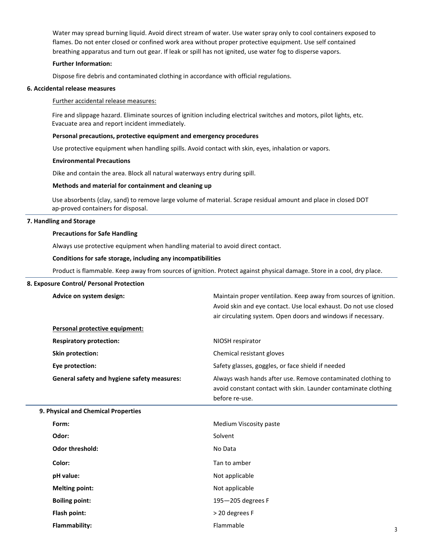Water may spread burning liquid. Avoid direct stream of water. Use water spray only to cool containers exposed to flames. Do not enter closed or confined work area without proper protective equipment. Use self contained breathing apparatus and turn out gear. If leak or spill has not ignited, use water fog to disperse vapors.

#### **Further Information:**

Dispose fire debris and contaminated clothing in accordance with official regulations.

#### **6. Accidental release measures**

#### Further accidental release measures:

Fire and slippage hazard. Eliminate sources of ignition including electrical switches and motors, pilot lights, etc. Evacuate area and report incident immediately.

#### **Personal precautions, protective equipment and emergency procedures**

Use protective equipment when handling spills. Avoid contact with skin, eyes, inhalation or vapors.

#### **Environmental Precautions**

Dike and contain the area. Block all natural waterways entry during spill.

#### **Methods and material for containment and cleaning up**

Use absorbents (clay, sand) to remove large volume of material. Scrape residual amount and place in closed DOT ap-proved containers for disposal.

#### **7. Handling and Storage**

#### **Precautions for Safe Handling**

Always use protective equipment when handling material to avoid direct contact.

#### **Conditions for safe storage, including any incompatibilities**

Product is flammable. Keep away from sources of ignition. Protect against physical damage. Store in a cool, dry place.

#### **8. Exposure Control/ Personal Protection**

| Advice on system design:                    | Maintain proper ventilation. Keep away from sources of ignition.<br>Avoid skin and eye contact. Use local exhaust. Do not use closed<br>air circulating system. Open doors and windows if necessary. |
|---------------------------------------------|------------------------------------------------------------------------------------------------------------------------------------------------------------------------------------------------------|
| Personal protective equipment:              |                                                                                                                                                                                                      |
| <b>Respiratory protection:</b>              | NIOSH respirator                                                                                                                                                                                     |
| <b>Skin protection:</b>                     | Chemical resistant gloves                                                                                                                                                                            |
| Eye protection:                             | Safety glasses, goggles, or face shield if needed                                                                                                                                                    |
| General safety and hygiene safety measures: | Always wash hands after use. Remove contaminated clothing to<br>avoid constant contact with skin. Launder contaminate clothing<br>before re-use.                                                     |
| 9. Physical and Chemical Properties         |                                                                                                                                                                                                      |
| Form:                                       | Medium Viscosity paste                                                                                                                                                                               |
| Odor:                                       | Solvent                                                                                                                                                                                              |
| <b>Odor threshold:</b>                      | No Data                                                                                                                                                                                              |
|                                             |                                                                                                                                                                                                      |

**Color:** Tan to amber

**pH value:** Not applicable

**Melting point:** Not applicable

**Boiling point:** 195—205 degrees F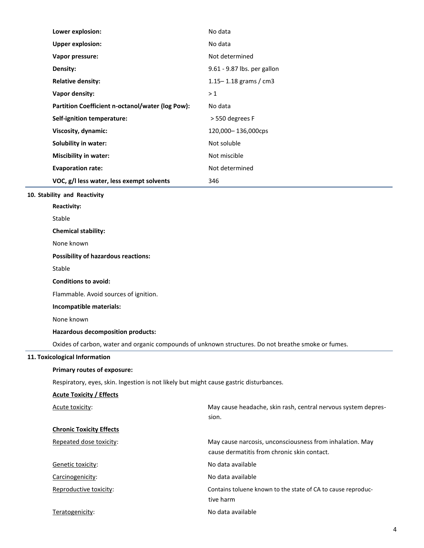| Lower explosion:                                 | No data                     |
|--------------------------------------------------|-----------------------------|
| <b>Upper explosion:</b>                          | No data                     |
| Vapor pressure:                                  | Not determined              |
| Density:                                         | 9.61 - 9.87 lbs. per gallon |
| <b>Relative density:</b>                         | 1.15 - 1.18 grams / cm3     |
| Vapor density:                                   | >1                          |
| Partition Coefficient n-octanol/water (log Pow): | No data                     |
| Self-ignition temperature:                       | > 550 degrees F             |
| Viscosity, dynamic:                              | 120,000-136,000cps          |
| <b>Solubility in water:</b>                      | Not soluble                 |
| <b>Miscibility in water:</b>                     | Not miscible                |
| <b>Evaporation rate:</b>                         | Not determined              |
| VOC, g/I less water, less exempt solvents        | 346                         |
| 10. Stability and Reactivity                     |                             |
| <b>Reactivity:</b>                               |                             |
| Stable                                           |                             |
| <b>Chemical stability:</b>                       |                             |
| None known                                       |                             |
| <b>Possibility of hazardous reactions:</b>       |                             |
| Stable                                           |                             |
| <b>Conditions to avoid:</b>                      |                             |
| Flammable. Avoid sources of ignition.            |                             |

**Incompatible materials:**

None known

# **Hazardous decomposition products:**

Oxides of carbon, water and organic compounds of unknown structures. Do not breathe smoke or fumes.

# **11. Toxicological Information**

# **Primary routes of exposure:**

Respiratory, eyes, skin. Ingestion is not likely but might cause gastric disturbances.

| <b>Acute Toxicity / Effects</b> |                                                                                                         |
|---------------------------------|---------------------------------------------------------------------------------------------------------|
| Acute toxicity:                 | May cause headache, skin rash, central nervous system depres-                                           |
|                                 | sion.                                                                                                   |
| <b>Chronic Toxicity Effects</b> |                                                                                                         |
| Repeated dose toxicity:         | May cause narcosis, unconsciousness from inhalation. May<br>cause dermatitis from chronic skin contact. |
| Genetic toxicity:               | No data available                                                                                       |
| Carcinogenicity:                | No data available                                                                                       |
| Reproductive toxicity:          | Contains toluene known to the state of CA to cause reproduc-<br>tive harm                               |
| Teratogenicity:                 | No data available                                                                                       |